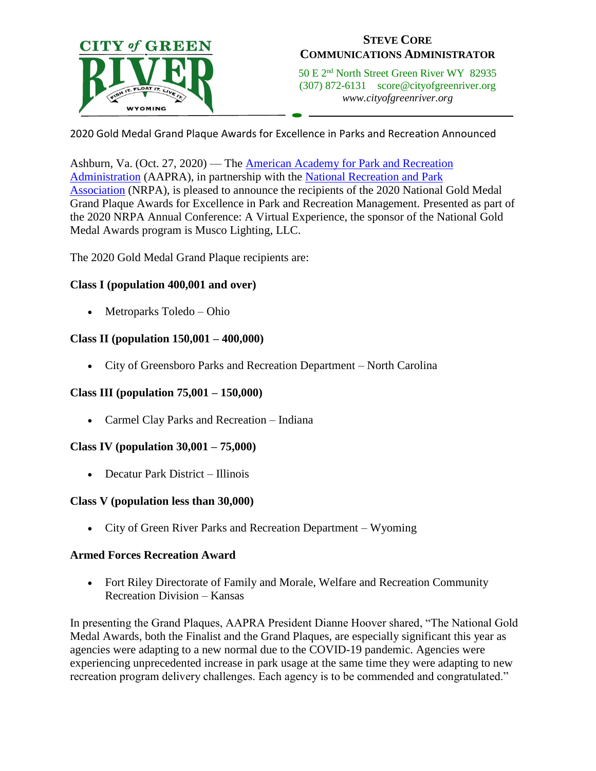

# **STEVE CORE COMMUNICATIONS ADMINISTRATOR**

50 E 2nd North Street Green River WY 82935 (307) 872-6131 score@cityofgreenriver.org *www.cityofgreenriver.org*

2020 Gold Medal Grand Plaque Awards for Excellence in Parks and Recreation Announced

 $\overline{a}$ 

Ashburn, Va. (Oct. 27, 2020) — The [American Academy for Park and Recreation](http://www.aapra.org/)  [Administration](http://www.aapra.org/) (AAPRA), in partnership with the [National Recreation and Park](https://www.nrpa.org/)  [Association](https://www.nrpa.org/) (NRPA), is pleased to announce the recipients of the 2020 National Gold Medal Grand Plaque Awards for Excellence in Park and Recreation Management. Presented as part of the 2020 NRPA Annual Conference: A Virtual Experience, the sponsor of the National Gold Medal Awards program is Musco Lighting, LLC.

The 2020 Gold Medal Grand Plaque recipients are:

# **Class I (population 400,001 and over)**

• Metroparks Toledo – Ohio

### **Class II (population 150,001 – 400,000)**

• City of Greensboro Parks and Recreation Department – North Carolina

# **Class III (population 75,001 – 150,000)**

• Carmel Clay Parks and Recreation – Indiana

# **Class IV (population 30,001 – 75,000)**

• Decatur Park District – Illinois

#### **Class V (population less than 30,000)**

• City of Green River Parks and Recreation Department – Wyoming

#### **Armed Forces Recreation Award**

• Fort Riley Directorate of Family and Morale, Welfare and Recreation Community Recreation Division – Kansas

In presenting the Grand Plaques, AAPRA President Dianne Hoover shared, "The National Gold Medal Awards, both the Finalist and the Grand Plaques, are especially significant this year as agencies were adapting to a new normal due to the COVID-19 pandemic. Agencies were experiencing unprecedented increase in park usage at the same time they were adapting to new recreation program delivery challenges. Each agency is to be commended and congratulated."